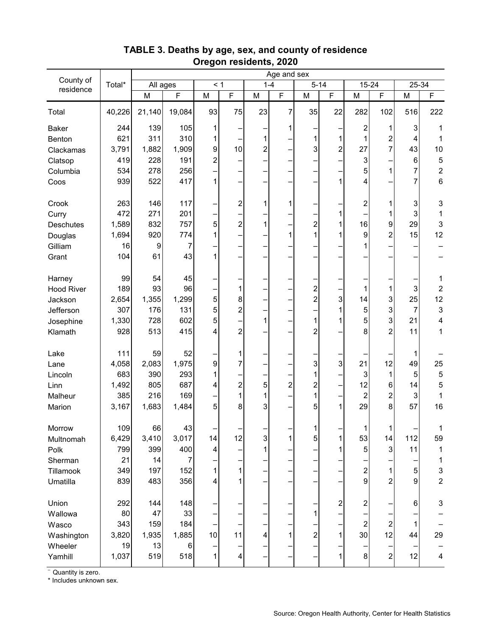|                        | Total* | Age and sex      |                |          |                         |                |                |                         |                |                         |                  |                                                                                       |                           |
|------------------------|--------|------------------|----------------|----------|-------------------------|----------------|----------------|-------------------------|----------------|-------------------------|------------------|---------------------------------------------------------------------------------------|---------------------------|
| County of<br>residence |        | All ages         |                | $\leq 1$ |                         | $1 - 4$        |                | $5 - 14$                |                | 15-24                   |                  | $25 - 34$                                                                             |                           |
|                        |        | M                | $\overline{F}$ | M        | $\overline{F}$          | M              | $\overline{F}$ | M                       | $\overline{F}$ | M                       | F.               | $\mathsf{M}% _{T}=\mathsf{M}_{T}\!\left( a,b\right) ,\ \mathsf{M}_{T}=\mathsf{M}_{T}$ | $\mathsf F$               |
| Total                  | 40,226 | 21,140           | 19,084         | 93       | 75                      | 23             | 7              | 35                      | 22             | 282                     | 102              | 516                                                                                   | 222                       |
| <b>Baker</b>           | 244    | 139              | 105            | 1        |                         |                | 1              |                         |                | $\overline{\mathbf{c}}$ | 1                | 3                                                                                     | 1                         |
| Benton                 | 621    | 311              | 310            | 1        |                         | 1              |                | 1                       | 1              | 1                       | 2                | $\overline{4}$                                                                        | $\mathbf 1$               |
| Clackamas              | 3,791  | 1,882            | 1,909          | 9        | 10                      | $\overline{a}$ |                | 3                       | $\overline{c}$ | 27                      | $\overline{7}$   | 43                                                                                    | 10                        |
| Clatsop                | 419    | 228              | 191            | 2        |                         |                |                |                         |                | 3                       |                  | 6                                                                                     | $\mathbf 5$               |
| Columbia               | 534    | 278              | 256            |          | —                       |                |                | -                       |                | 5                       | 1                | 7                                                                                     | $\overline{c}$            |
| Coos                   | 939    | 522              | 417            | 1        |                         |                |                |                         | 1              | 4                       |                  | 7                                                                                     | 6                         |
| Crook                  | 263    | 146              | 117            |          | $\overline{\mathbf{c}}$ | 1              | 1              |                         |                | 2                       | 1                | 3                                                                                     | 3                         |
| Curry                  | 472    | 271              | 201            |          |                         |                |                |                         | $\mathbf{1}$   |                         | 1                | 3                                                                                     | $\mathbf{1}$              |
| <b>Deschutes</b>       | 1,589  | 832              | 757            | 5        | $\overline{\mathbf{c}}$ | $\mathbf{1}$   |                | $\overline{\mathbf{c}}$ | 1              | 16                      | 9                | 29                                                                                    | 3                         |
| Douglas                | 1,694  | 920              | 774            | 1        |                         |                | 1              | 1                       | 1              | 9                       | $\overline{2}$   | 15                                                                                    | 12                        |
| Gilliam                | 16     | $\boldsymbol{9}$ | 7              |          |                         |                |                |                         |                |                         |                  |                                                                                       |                           |
| Grant                  | 104    | 61               | 43             | 1        |                         |                |                |                         |                |                         |                  |                                                                                       |                           |
| Harney                 | 99     | 54               | 45             |          |                         |                |                |                         |                |                         |                  |                                                                                       | 1                         |
| <b>Hood River</b>      | 189    | 93               | 96             |          | 1                       |                |                | $\overline{\mathbf{c}}$ |                | 1                       | 1                | 3                                                                                     | $\boldsymbol{2}$          |
| Jackson                | 2,654  | 1,355            | 1,299          | 5        | $\bf 8$                 |                |                | $\overline{c}$          | $\overline{3}$ | 14                      | $\mathbf{3}$     | 25                                                                                    | 12                        |
| Jefferson              | 307    | 176              | 131            | 5        | $\overline{c}$          |                |                |                         | 1              | 5                       | 3                | $\overline{7}$                                                                        | $\ensuremath{\mathsf{3}}$ |
| Josephine              | 1,330  | 728              | 602            | 5        |                         | 1              |                | 1                       | 1              | 5                       | 3                | 21                                                                                    | 4                         |
| Klamath                | 928    | 513              | 415            | 4        | 2                       |                |                | $\overline{2}$          |                | 8                       | $\overline{2}$   | 11                                                                                    | $\mathbf{1}$              |
| Lake                   | 111    | 59               | 52             |          | 1                       |                |                |                         |                |                         |                  | 1                                                                                     |                           |
| Lane                   | 4,058  | 2,083            | 1,975          | 9        | $\overline{7}$          |                |                | 3                       | 3              | 21                      | 12               | 49                                                                                    | 25                        |
| Lincoln                | 683    | 390              | 293            | 1        |                         |                |                | 1                       |                | 3                       | $\mathbf{1}$     | 5                                                                                     | $\mathbf 5$               |
| Linn                   | 1,492  | 805              | 687            | 4        | $\overline{c}$          | 5              | $\overline{2}$ | $\overline{\mathbf{c}}$ |                | 12                      | 6                | 14                                                                                    | 5                         |
| Malheur                | 385    | 216              | 169            |          | 1                       | 1              |                | 1                       |                | $\boldsymbol{2}$        | $\overline{c}$   | $\sqrt{3}$                                                                            | $\mathbf{1}$              |
| Marion                 | 3,167  | 1,683            | 1,484          | 5        | 8                       | 3              |                | 5                       | 1              | 29                      | 8                | 57                                                                                    | 16                        |
| Morrow                 | 109    | 66               | 43             |          |                         |                |                | 1                       |                | 1                       | $\mathbf{1}$     |                                                                                       |                           |
| Multnomah              | 6,429  | 3,410            | 3,017          | 14       | 12                      | $\overline{3}$ | 1              | $\mathbf 5$             | 1              | 53                      | 14               | 112                                                                                   | 59                        |
| Polk                   | 799    | 399              | 400            | 4        |                         | 1              |                |                         | 1              | 5                       | 3                | 11                                                                                    | $\mathbf{1}$              |
| Sherman                | 21     | 14               | 7              |          |                         |                |                | —                       |                |                         |                  |                                                                                       | 1                         |
| Tillamook              | 349    | 197              | 152            | 1        | $\mathbf 1$             |                |                | -                       |                | $\overline{\mathbf{c}}$ | 1                | 5                                                                                     | 3                         |
| Umatilla               | 839    | 483              | 356            | 4        | 1                       |                |                | -                       |                | $\mathsf{9}$            | $\overline{c}$   | 9                                                                                     | $\overline{2}$            |
| Union                  | 292    | 144              | 148            |          |                         |                |                | Ξ                       | 2              | 2                       |                  | 6                                                                                     | 3                         |
| Wallowa                | 80     | 47               | 33             |          |                         |                |                | $\mathbf{1}$            |                |                         |                  |                                                                                       |                           |
| Wasco                  | 343    | 159              | 184            |          |                         |                |                |                         |                | $\overline{\mathbf{c}}$ | $\boldsymbol{2}$ | 1                                                                                     |                           |
| Washington             | 3,820  | 1,935            | 1,885          | 10       | 11                      | 4              | 1              | $\boldsymbol{2}$        | 1              | 30                      | 12               | 44                                                                                    | 29                        |
| Wheeler                | 19     | 13               | 6              |          |                         |                |                | —                       |                |                         |                  |                                                                                       |                           |
| Yamhill                | 1,037  | 519              | 518            | 1        | 4                       |                |                | -                       | 1              | $\bf{8}$                | $\boldsymbol{2}$ | 12                                                                                    | 4                         |

## **TABLE 3. Deaths by age, sex, and county of residence Oregon residents, 2020**

– Quantity is zero.

\* Includes unknown sex.